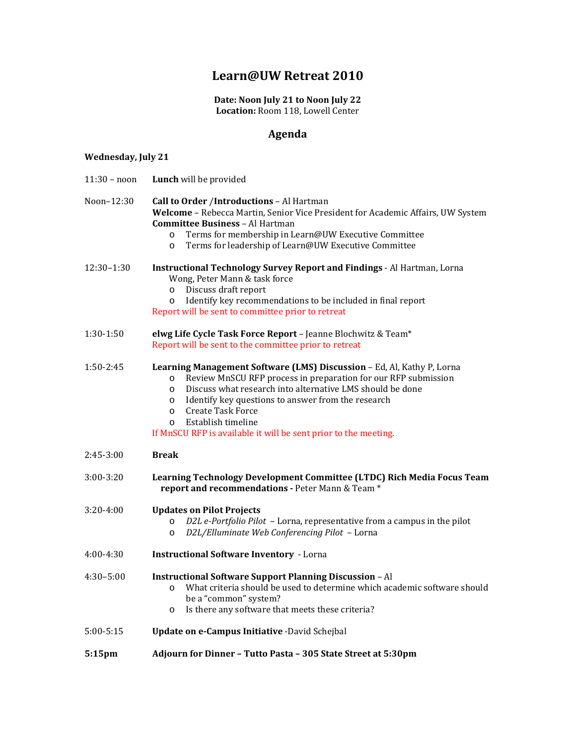## **Learn@UW Retreat 2010**

**Date: Noon July 21 to Noon July 22 Location:** Room 118, Lowell Center

### **Agenda**

### **Wednesday, July 21**

| $11:30 - noon$ | Lunch will be provided                                                                                                                                                                                                                                                                                                                                                                                                                   |
|----------------|------------------------------------------------------------------------------------------------------------------------------------------------------------------------------------------------------------------------------------------------------------------------------------------------------------------------------------------------------------------------------------------------------------------------------------------|
| Noon-12:30     | Call to Order /Introductions - Al Hartman<br>Welcome - Rebecca Martin, Senior Vice President for Academic Affairs, UW System<br><b>Committee Business - Al Hartman</b><br>Terms for membership in Learn@UW Executive Committee<br>$\circ$<br>Terms for leadership of Learn@UW Executive Committee<br>$\circ$                                                                                                                             |
| $12:30-1:30$   | <b>Instructional Technology Survey Report and Findings - Al Hartman, Lorna</b><br>Wong, Peter Mann & task force<br>Discuss draft report<br>$\circ$<br>Identify key recommendations to be included in final report<br>$\circ$<br>Report will be sent to committee prior to retreat                                                                                                                                                        |
| $1:30-1:50$    | elwg Life Cycle Task Force Report - Jeanne Blochwitz & Team*<br>Report will be sent to the committee prior to retreat                                                                                                                                                                                                                                                                                                                    |
| $1:50-2:45$    | Learning Management Software (LMS) Discussion - Ed, Al, Kathy P, Lorna<br>Review MnSCU RFP process in preparation for our RFP submission<br>$\circ$<br>Discuss what research into alternative LMS should be done<br>$\circ$<br>Identify key questions to answer from the research<br>$\circ$<br><b>Create Task Force</b><br>$\circ$<br>Establish timeline<br>$\Omega$<br>If MnSCU RFP is available it will be sent prior to the meeting. |
| $2:45-3:00$    | <b>Break</b>                                                                                                                                                                                                                                                                                                                                                                                                                             |
| $3:00 - 3:20$  | Learning Technology Development Committee (LTDC) Rich Media Focus Team<br>report and recommendations - Peter Mann & Team *                                                                                                                                                                                                                                                                                                               |
| $3:20-4:00$    | <b>Updates on Pilot Projects</b><br>D2L e-Portfolio Pilot - Lorna, representative from a campus in the pilot<br>$\circ$<br>D2L/Elluminate Web Conferencing Pilot - Lorna<br>$\circ$                                                                                                                                                                                                                                                      |
| $4:00-4:30$    | <b>Instructional Software Inventory - Lorna</b>                                                                                                                                                                                                                                                                                                                                                                                          |
| $4:30 - 5:00$  | <b>Instructional Software Support Planning Discussion - Al</b><br>What criteria should be used to determine which academic software should<br>$\circ$<br>be a "common" system?<br>Is there any software that meets these criteria?<br>$\circ$                                                                                                                                                                                            |
| $5:00 - 5:15$  | Update on e-Campus Initiative -David Schejbal                                                                                                                                                                                                                                                                                                                                                                                            |
| 5:15pm         | Adjourn for Dinner - Tutto Pasta - 305 State Street at 5:30pm                                                                                                                                                                                                                                                                                                                                                                            |